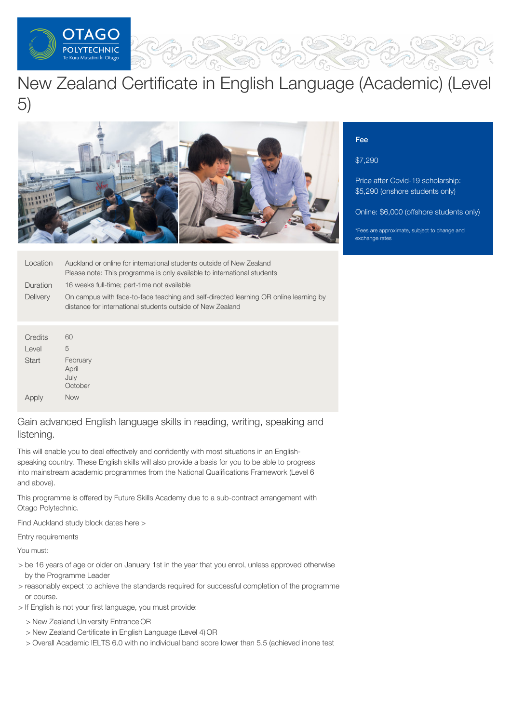

# New Zealand Certificate in English Language (Academic) (Level 5)



| Location        | Auckland or online for international students outside of New Zealand                                                                                |  |
|-----------------|-----------------------------------------------------------------------------------------------------------------------------------------------------|--|
|                 | Please note: This programme is only available to international students                                                                             |  |
| Duration        | 16 weeks full-time; part-time not available                                                                                                         |  |
| <b>Delivery</b> | On campus with face-to-face teaching and self-directed learning OR online learning by<br>distance for international students outside of New Zealand |  |

| Credits | 60                                   |
|---------|--------------------------------------|
| Level   | 5                                    |
| Start   | February<br>April<br>July<br>October |
| Apply   | <b>Now</b>                           |

Gain advanced English language skills in reading, writing, speaking and listening.

This will enable you to deal effectively and confidently with most situations in an Englishspeaking country. These English skills will also provide a basis for you to be able to progress into mainstream academic programmes from the National Qualifications Framework (Level 6 and above).

This programme is offered by Future Skills Academy due to a sub-contract arrangement with Otago Polytechnic.

Find Auckland study block dates here >

Entry requirements

You must:

- > be 16 years of age or older on January 1st in the year that you enrol, unless approved otherwise by the Programme Leader
- > reasonably expect to achieve the standards required for successful completion of the programme or course.
- > If English is not your first language, you must provide:
	- > New Zealand University Entrance OR
	- > New Zealand Certificate in English Language (Level 4) OR
	- > Overall Academic IELTS 6.0 with no individual band score lower than 5.5 (achieved inone test

## Fee

\$7,290

Price after Covid-19 scholarship: \$5,290 (onshore students only)

Online: \$6,000 (offshore students only)

\*Fees are approximate, subject to change and exchange rates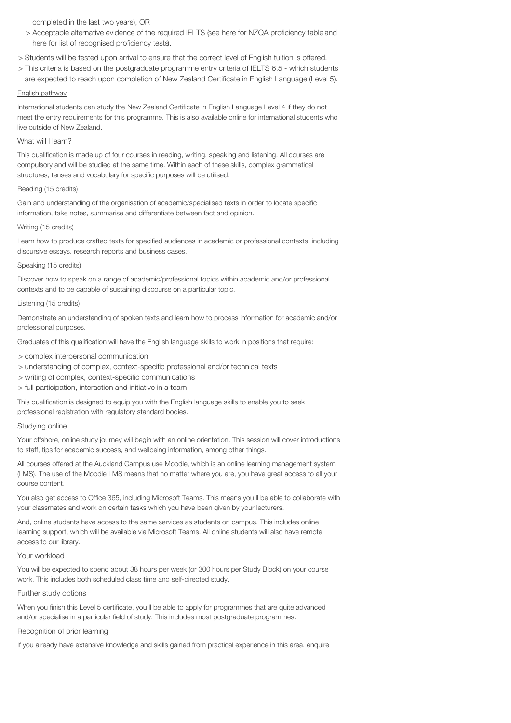completed in the last two years), OR

- > Acceptable alternative evidence of the required IELTS (see here for NZQA proficiency table and here for list of recognised proficiency tests).
- > Students will be tested upon arrival to ensure that the correct level of English tuition is offered.
- > This criteria is based on the postgraduate programme entry criteria of IELTS 6.5 which students are expected to reach upon completion of New Zealand Certificate in English Language (Level 5).

#### English pathway

International students can study the New Zealand Certificate in English Language Level 4 if they do not meet the entry requirements for this programme. This is also available online for international students who live outside of New Zealand.

#### What will I learn?

This qualification is made up of four courses in reading, writing, speaking and listening. All courses are compulsory and will be studied at the same time. Within each of these skills, complex grammatical structures, tenses and vocabulary for specific purposes will be utilised.

#### Reading (15 credits)

Gain and understanding of the organisation of academic/specialised texts in order to locate specific information, take notes, summarise and differentiate between fact and opinion.

#### Writing (15 credits)

Learn how to produce crafted texts for specified audiences in academic or professional contexts, including discursive essays, research reports and business cases.

#### Speaking (15 credits)

Discover how to speak on a range of academic/professional topics within academic and/or professional contexts and to be capable of sustaining discourse on a particular topic.

#### Listening (15 credits)

Demonstrate an understanding of spoken texts and learn how to process information for academic and/or professional purposes.

Graduates of this qualification will have the English language skills to work in positions that require:

- > complex interpersonal communication
- > understanding of complex, context-specific professional and/or technical texts
- > writing of complex, context-specific communications
- > full participation, interaction and initiative in a team.

This qualification is designed to equip you with the English language skills to enable you to seek professional registration with regulatory standard bodies.

#### Studying online

Your offshore, online study journey will begin with an online orientation. This session will cover introductions to staff, tips for academic success, and wellbeing information, among other things.

All courses offered at the Auckland Campus use Moodle, which is an online learning management system (LMS). The use of the Moodle LMS means that no matter where you are, you have great access to all your course content.

You also get access to Office 365, including Microsoft Teams. This means you'll be able to collaborate with your classmates and work on certain tasks which you have been given by your lecturers.

And, online students have access to the same services as students on campus. This includes online learning support, which will be available via Microsoft Teams. All online students will also have remote access to our library.

#### Your workload

You will be expected to spend about 38 hours per week (or 300 hours per Study Block) on your course work. This includes both scheduled class time and self-directed study.

## Further study options

When you finish this Level 5 certificate, you'll be able to apply for programmes that are quite advanced and/or specialise in a particular field of study. This includes most postgraduate programmes.

## Recognition of prior learning

If you already have extensive knowledge and skills gained from practical experience in this area, enquire